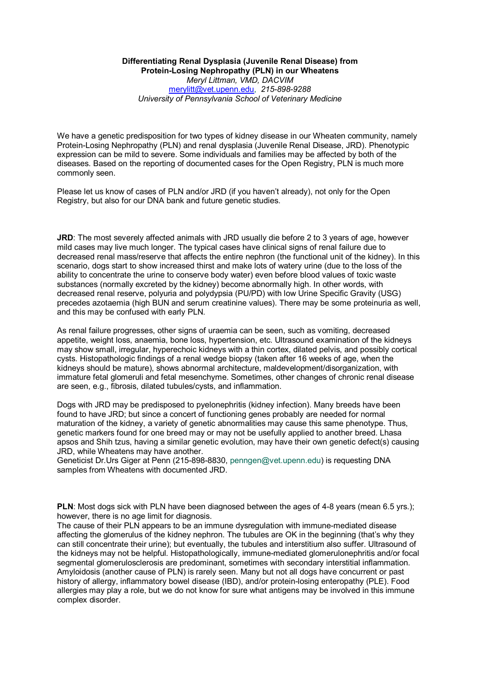## **Differentiating Renal Dysplasia (Juvenile Renal Disease) from Protein-Losing Nephropathy (PLN) in our Wheatens** *Meryl Littman, VMD, DACVIM* [merylitt@vet.upenn.edu,](mailto:merylitt@vet.upenn.edu) *215-898-9288 University of Pennsylvania School of Veterinary Medicine*

We have a genetic predisposition for two types of kidney disease in our Wheaten community, namely Protein-Losing Nephropathy (PLN) and renal dysplasia (Juvenile Renal Disease, JRD). Phenotypic expression can be mild to severe. Some individuals and families may be affected by both of the diseases. Based on the reporting of documented cases for the Open Registry, PLN is much more commonly seen.

Please let us know of cases of PLN and/or JRD (if you haven't already), not only for the Open Registry, but also for our DNA bank and future genetic studies.

**JRD**: The most severely affected animals with JRD usually die before 2 to 3 years of age, however mild cases may live much longer. The typical cases have clinical signs of renal failure due to decreased renal mass/reserve that affects the entire nephron (the functional unit of the kidney). In this scenario, dogs start to show increased thirst and make lots of watery urine (due to the loss of the ability to concentrate the urine to conserve body water) even before blood values of toxic waste substances (normally excreted by the kidney) become abnormally high. In other words, with decreased renal reserve, polyuria and polydypsia (PU/PD) with low Urine Specific Gravity (USG) precedes azotaemia (high BUN and serum creatinine values). There may be some proteinuria as well, and this may be confused with early PLN.

As renal failure progresses, other signs of uraemia can be seen, such as vomiting, decreased appetite, weight loss, anaemia, bone loss, hypertension, etc. Ultrasound examination of the kidneys may show small, irregular, hyperechoic kidneys with a thin cortex, dilated pelvis, and possibly cortical cysts. Histopathologic findings of a renal wedge biopsy (taken after 16 weeks of age, when the kidneys should be mature), shows abnormal architecture, maldevelopment/disorganization, with immature fetal glomeruli and fetal mesenchyme. Sometimes, other changes of chronic renal disease are seen, e.g., fibrosis, dilated tubules/cysts, and inflammation.

Dogs with JRD may be predisposed to pyelonephritis (kidney infection). Many breeds have been found to have JRD; but since a concert of functioning genes probably are needed for normal maturation of the kidney, a variety of genetic abnormalities may cause this same phenotype. Thus, genetic markers found for one breed may or may not be usefully applied to another breed. Lhasa apsos and Shih tzus, having a similar genetic evolution, may have their own genetic defect(s) causing JRD, while Wheatens may have another.

Geneticist Dr.Urs Giger at Penn (215-898-8830, penngen@vet.upenn.edu) is requesting DNA samples from Wheatens with documented JRD.

**PLN**: Most dogs sick with PLN have been diagnosed between the ages of 4-8 years (mean 6.5 yrs.); however, there is no age limit for diagnosis.

The cause of their PLN appears to be an immune dysregulation with immune-mediated disease affecting the glomerulus of the kidney nephron. The tubules are OK in the beginning (that's why they can still concentrate their urine); but eventually, the tubules and interstitium also suffer. Ultrasound of the kidneys may not be helpful. Histopathologically, immune-mediated glomerulonephritis and/or focal segmental glomerulosclerosis are predominant, sometimes with secondary interstitial inflammation. Amyloidosis (another cause of PLN) is rarely seen. Many but not all dogs have concurrent or past history of allergy, inflammatory bowel disease (IBD), and/or protein-losing enteropathy (PLE). Food allergies may play a role, but we do not know for sure what antigens may be involved in this immune complex disorder.